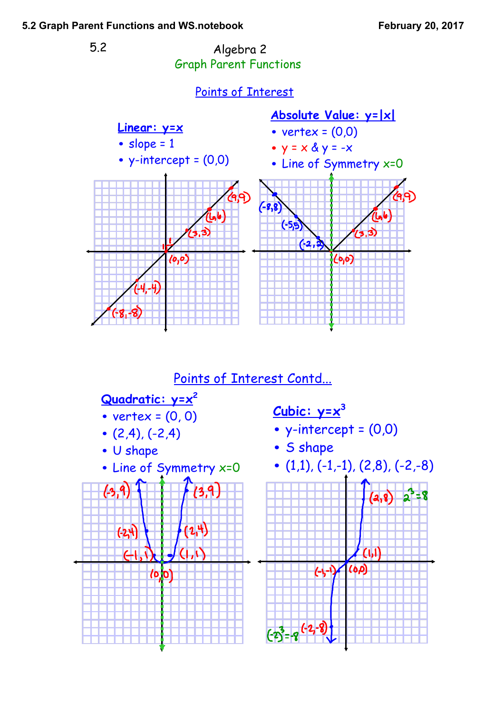5.2 Algebra 2 Graph Parent Functions

## Points of Interest



Points of Interest Contd...

## **Quadratic: y=x 2**

- $\bullet\,$  vertex =  $(0,0)$
- $\bullet$  (2,4), (-2,4)
- U shape
- Line of Symmetry x=0

 $( -3, 9)$  $(3,9)$  $(2,4)$  $(-24)$  $\mathbf{L}$  $(0, 0)$ 

# **Cubic: y=x 3**

- y-intercept = (0,0)
- S shape
- $(1,1)$ ,  $(-1,-1)$ ,  $(2,8)$ ,  $(-2,-8)$

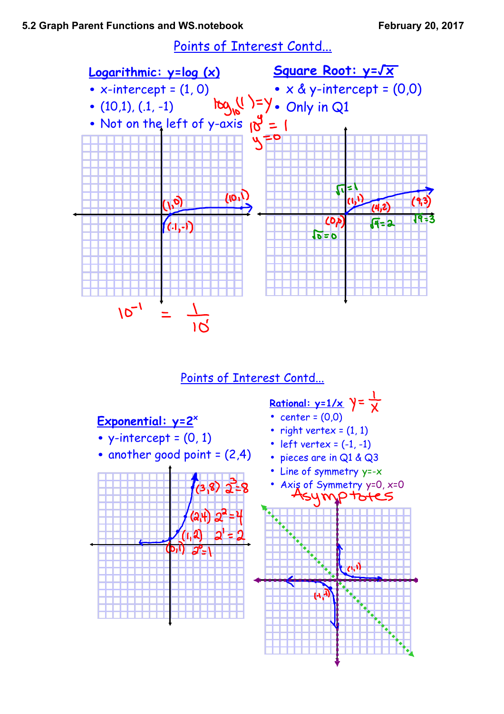Points of Interest Contd...



Points of Interest Contd...

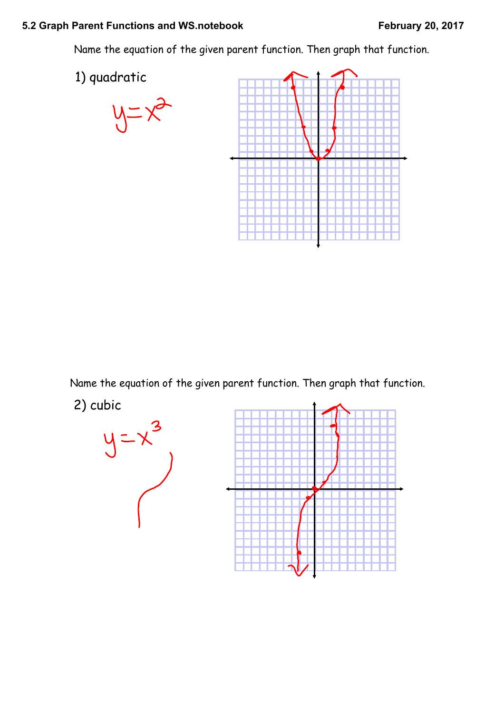

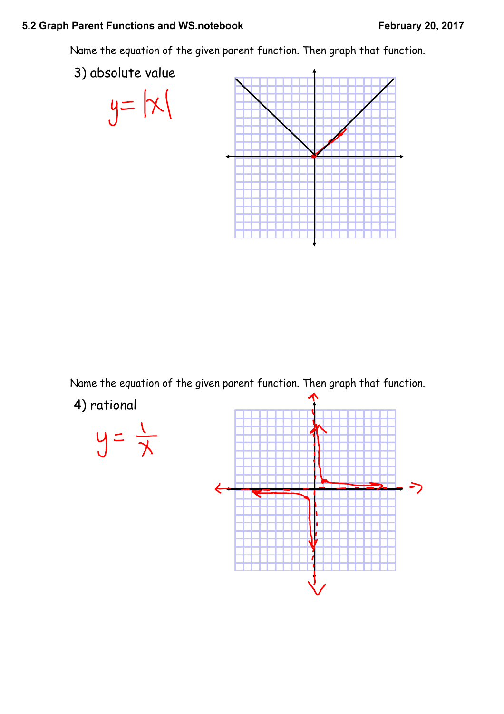





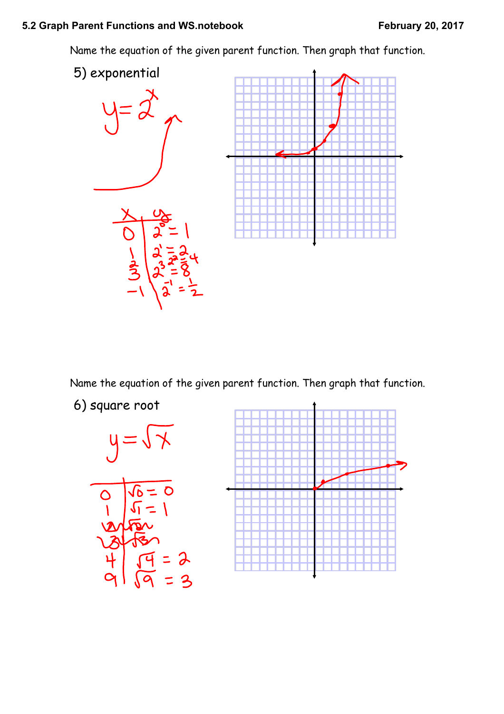

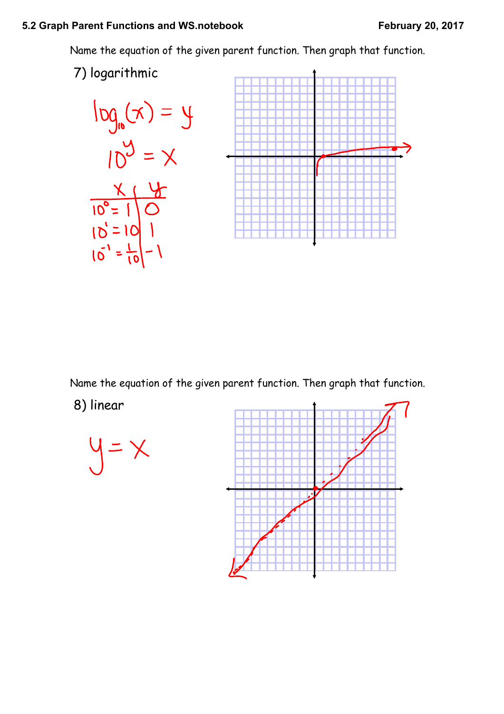

8) linear



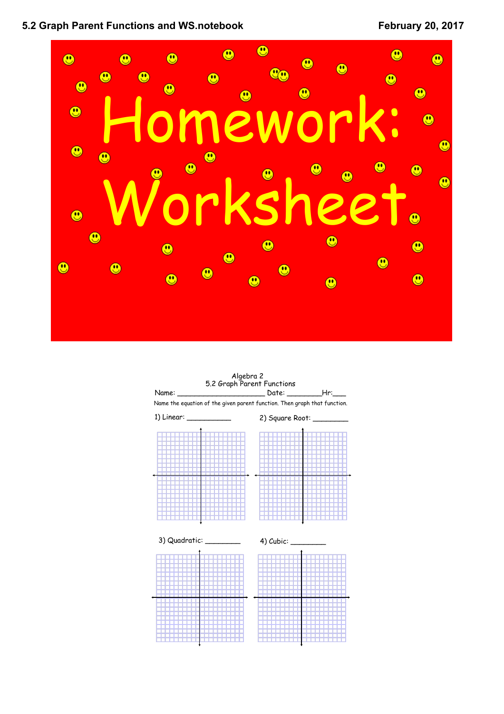